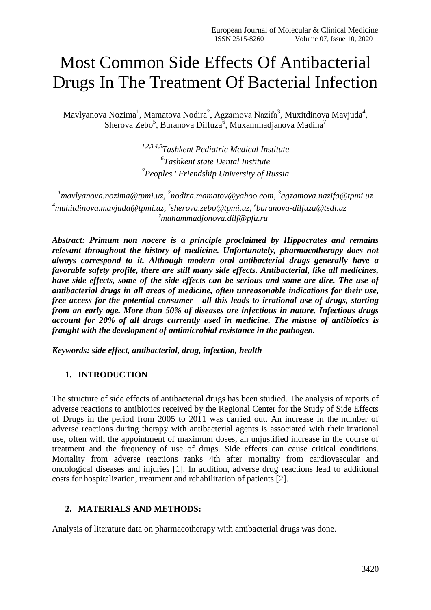# Most Common Side Effects Of Antibacterial Drugs In The Treatment Of Bacterial Infection

Mavlyanova Nozima $^1$ , Mamatova Nodira $^2$ , Agzamova Nazifa $^3$ , Muxitdinova Mavjuda $^4$ , Sherova Zebo<sup>5</sup>, Buranova Dilfuza<sup>6</sup>, Muxammadjanova Madina<sup>7</sup>

> *1,2,3,4,5Tashkent Pediatric Medical Institute 6 Tashkent state Dental Institute 7 Peoples ' Friendship University of Russia*

<sup>1</sup> [mavlyanova.nozima@tpmi.uz,](mailto:1mavlyanova.nozima@tpmi.uz) <sup>2</sup>[nodira.mamatov@yahoo.com,](mailto:2nodira.mamatov@yahoo.com) <sup>3</sup>agzamova.nazifa@tpmi.uz *<sup>4</sup>[muhitdinova.mavjuda@tpmi.uz,](mailto:4muhitdinova.mavjuda@tpmi.uz) 5 [sherova.zebo@tpmi.uz,](mailto:5sherova.zebo@tpmi.uz) 6 buranova-dilfuza@tsdi.uz <sup>7</sup>muhammadjonova.dilf@pfu.ru*

*Abstract: Primum non nocere is a principle proclaimed by Hippocrates and remains relevant throughout the history of medicine. Unfortunately, pharmacotherapy does not always correspond to it. Although modern oral antibacterial drugs generally have a favorable safety profile, there are still many side effects. Antibacterial, like all medicines, have side effects, some of the side effects can be serious and some are dire. The use of antibacterial drugs in all areas of medicine, often unreasonable indications for their use, free access for the potential consumer - all this leads to irrational use of drugs, starting from an early age. More than 50% of diseases are infectious in nature. Infectious drugs account for 20% of all drugs currently used in medicine. The misuse of antibiotics is fraught with the development of antimicrobial resistance in the pathogen.*

*Keywords: side effect, antibacterial, drug, infection, health*

## **1. INTRODUCTION**

The structure of side effects of antibacterial drugs has been studied. The analysis of reports of adverse reactions to antibiotics received by the Regional Center for the Study of Side Effects of Drugs in the period from 2005 to 2011 was carried out. An increase in the number of adverse reactions during therapy with antibacterial agents is associated with their irrational use, often with the appointment of maximum doses, an unjustified increase in the course of treatment and the frequency of use of drugs. Side effects can cause critical conditions. Mortality from adverse reactions ranks 4th after mortality from cardiovascular and oncological diseases and injuries [1]. In addition, adverse drug reactions lead to additional costs for hospitalization, treatment and rehabilitation of patients [2].

## **2. MATERIALS AND METHODS:**

Analysis of literature data on pharmacotherapy with antibacterial drugs was done.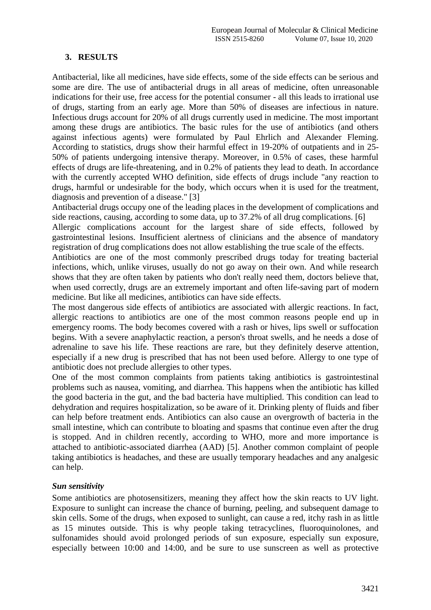## **3. RESULTS**

Antibacterial, like all medicines, have side effects, some of the side effects can be serious and some are dire. The use of antibacterial drugs in all areas of medicine, often unreasonable indications for their use, free access for the potential consumer - all this leads to irrational use of drugs, starting from an early age. More than 50% of diseases are infectious in nature. Infectious drugs account for 20% of all drugs currently used in medicine. The most important among these drugs are antibiotics. The basic rules for the use of antibiotics (and others against infectious agents) were formulated by Paul Ehrlich and Alexander Fleming. According to statistics, drugs show their harmful effect in 19-20% of outpatients and in 25- 50% of patients undergoing intensive therapy. Moreover, in 0.5% of cases, these harmful effects of drugs are life-threatening, and in 0.2% of patients they lead to death. In accordance with the currently accepted WHO definition, side effects of drugs include "any reaction to drugs, harmful or undesirable for the body, which occurs when it is used for the treatment, diagnosis and prevention of a disease." [3]

Antibacterial drugs occupy one of the leading places in the development of complications and side reactions, causing, according to some data, up to 37.2% of all drug complications. [6]

Allergic complications account for the largest share of side effects, followed by gastrointestinal lesions. Insufficient alertness of clinicians and the absence of mandatory registration of drug complications does not allow establishing the true scale of the effects.

Antibiotics are one of the most commonly prescribed drugs today for treating bacterial infections, which, unlike viruses, usually do not go away on their own. And while research shows that they are often taken by patients who don't really need them, doctors believe that, when used correctly, drugs are an extremely important and often life-saving part of modern medicine. But like all medicines, antibiotics can have side effects.

The most dangerous side effects of antibiotics are associated with allergic reactions. In fact, allergic reactions to antibiotics are one of the most common reasons people end up in emergency rooms. The body becomes covered with a rash or hives, lips swell or suffocation begins. With a severe anaphylactic reaction, a person's throat swells, and he needs a dose of adrenaline to save his life. These reactions are rare, but they definitely deserve attention, especially if a new drug is prescribed that has not been used before. Allergy to one type of antibiotic does not preclude allergies to other types.

One of the most common complaints from patients taking antibiotics is gastrointestinal problems such as nausea, vomiting, and diarrhea. This happens when the antibiotic has killed the good bacteria in the gut, and the bad bacteria have multiplied. This condition can lead to dehydration and requires hospitalization, so be aware of it. Drinking plenty of fluids and fiber can help before treatment ends. Antibiotics can also cause an overgrowth of bacteria in the small intestine, which can contribute to bloating and spasms that continue even after the drug is stopped. And in children recently, according to WHO, more and more importance is attached to antibiotic-associated diarrhea (AAD) [5]. Another common complaint of people taking antibiotics is headaches, and these are usually temporary headaches and any analgesic can help.

#### *Sun sensitivity*

Some antibiotics are photosensitizers, meaning they affect how the skin reacts to UV light. Exposure to sunlight can increase the chance of burning, peeling, and subsequent damage to skin cells. Some of the drugs, when exposed to sunlight, can cause a red, itchy rash in as little as 15 minutes outside. This is why people taking tetracyclines, fluoroquinolones, and sulfonamides should avoid prolonged periods of sun exposure, especially sun exposure, especially between 10:00 and 14:00, and be sure to use sunscreen as well as protective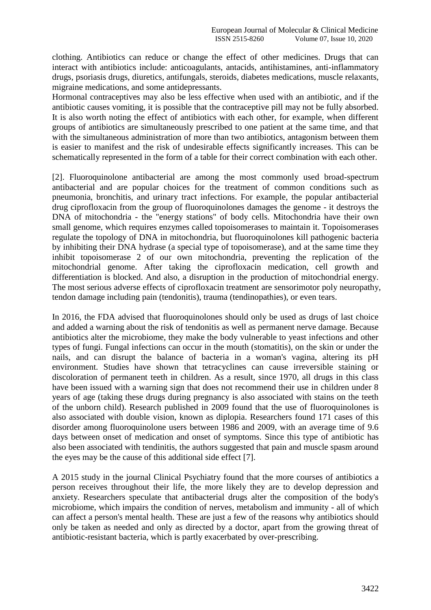clothing. Antibiotics can reduce or change the effect of other medicines. Drugs that can interact with antibiotics include: anticoagulants, antacids, antihistamines, anti-inflammatory drugs, psoriasis drugs, diuretics, antifungals, steroids, diabetes medications, muscle relaxants, migraine medications, and some antidepressants.

Hormonal contraceptives may also be less effective when used with an antibiotic, and if the antibiotic causes vomiting, it is possible that the contraceptive pill may not be fully absorbed. It is also worth noting the effect of antibiotics with each other, for example, when different groups of antibiotics are simultaneously prescribed to one patient at the same time, and that with the simultaneous administration of more than two antibiotics, antagonism between them is easier to manifest and the risk of undesirable effects significantly increases. This can be schematically represented in the form of a table for their correct combination with each other.

[2]. Fluoroquinolone antibacterial are among the most commonly used broad-spectrum antibacterial and are popular choices for the treatment of common conditions such as pneumonia, bronchitis, and urinary tract infections. For example, the popular antibacterial drug ciprofloxacin from the group of fluoroquinolones damages the genome - it destroys the DNA of mitochondria - the "energy stations" of body cells. Mitochondria have their own small genome, which requires enzymes called topoisomerases to maintain it. Topoisomerases regulate the topology of DNA in mitochondria, but fluoroquinolones kill pathogenic bacteria by inhibiting their DNA hydrase (a special type of topoisomerase), and at the same time they inhibit topoisomerase 2 of our own mitochondria, preventing the replication of the mitochondrial genome. After taking the ciprofloxacin medication, cell growth and differentiation is blocked. And also, a disruption in the production of mitochondrial energy. The most serious adverse effects of ciprofloxacin treatment are sensorimotor poly neuropathy, tendon damage including pain (tendonitis), trauma (tendinopathies), or even tears.

In 2016, the FDA advised that fluoroquinolones should only be used as drugs of last choice and added a warning about the risk of tendonitis as well as permanent nerve damage. Because antibiotics alter the microbiome, they make the body vulnerable to yeast infections and other types of fungi. Fungal infections can occur in the mouth (stomatitis), on the skin or under the nails, and can disrupt the balance of bacteria in a woman's vagina, altering its pH environment. Studies have shown that tetracyclines can cause irreversible staining or discoloration of permanent teeth in children. As a result, since 1970, all drugs in this class have been issued with a warning sign that does not recommend their use in children under 8 years of age (taking these drugs during pregnancy is also associated with stains on the teeth of the unborn child). Research published in 2009 found that the use of fluoroquinolones is also associated with double vision, known as diplopia. Researchers found 171 cases of this disorder among fluoroquinolone users between 1986 and 2009, with an average time of 9.6 days between onset of medication and onset of symptoms. Since this type of antibiotic has also been associated with tendinitis, the authors suggested that pain and muscle spasm around the eyes may be the cause of this additional side effect [7].

A 2015 study in the journal Clinical Psychiatry found that the more courses of antibiotics a person receives throughout their life, the more likely they are to develop depression and anxiety. Researchers speculate that antibacterial drugs alter the composition of the body's microbiome, which impairs the condition of nerves, metabolism and immunity - all of which can affect a person's mental health. These are just a few of the reasons why antibiotics should only be taken as needed and only as directed by a doctor, apart from the growing threat of antibiotic-resistant bacteria, which is partly exacerbated by over-prescribing.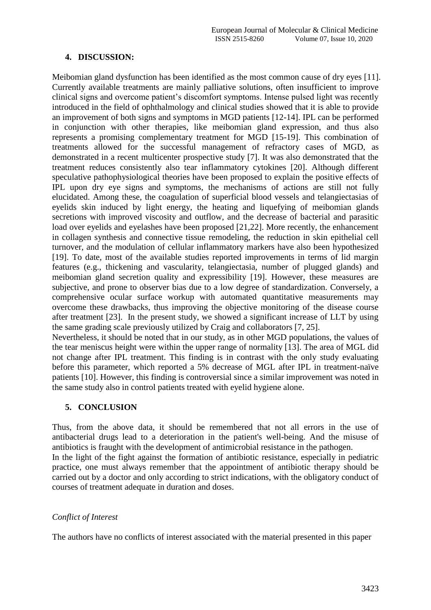### **4. DISCUSSION:**

Meibomian gland dysfunction has been identified as the most common cause of dry eyes [11]. Currently available treatments are mainly palliative solutions, often insufficient to improve clinical signs and overcome patient's discomfort symptoms. Intense pulsed light was recently introduced in the field of ophthalmology and clinical studies showed that it is able to provide an improvement of both signs and symptoms in MGD patients [12-14]. IPL can be performed in conjunction with other therapies, like meibomian gland expression, and thus also represents a promising complementary treatment for MGD [15-19]. This combination of treatments allowed for the successful management of refractory cases of MGD, as demonstrated in a recent multicenter prospective study [7]. It was also demonstrated that the treatment reduces consistently also tear inflammatory cytokines [20]. Although different speculative pathophysiological theories have been proposed to explain the positive effects of IPL upon dry eye signs and symptoms, the mechanisms of actions are still not fully elucidated. Among these, the coagulation of superficial blood vessels and telangiectasias of eyelids skin induced by light energy, the heating and liquefying of meibomian glands secretions with improved viscosity and outflow, and the decrease of bacterial and parasitic load over eyelids and eyelashes have been proposed [21,22]. More recently, the enhancement in collagen synthesis and connective tissue remodeling, the reduction in skin epithelial cell turnover, and the modulation of cellular inflammatory markers have also been hypothesized [19]. To date, most of the available studies reported improvements in terms of lid margin features (e.g., thickening and vascularity, telangiectasia, number of plugged glands) and meibomian gland secretion quality and expressibility [19]. However, these measures are subjective, and prone to observer bias due to a low degree of standardization. Conversely, a comprehensive ocular surface workup with automated quantitative measurements may overcome these drawbacks, thus improving the objective monitoring of the disease course after treatment [23]. In the present study, we showed a significant increase of LLT by using the same grading scale previously utilized by Craig and collaborators [7, 25].

Nevertheless, it should be noted that in our study, as in other MGD populations, the values of the tear meniscus height were within the upper range of normality [13]. The area of MGL did not change after IPL treatment. This finding is in contrast with the only study evaluating before this parameter, which reported a 5% decrease of MGL after IPL in treatment-naïve patients [10]. However, this finding is controversial since a similar improvement was noted in the same study also in control patients treated with eyelid hygiene alone.

## **5. CONCLUSION**

Thus, from the above data, it should be remembered that not all errors in the use of antibacterial drugs lead to a deterioration in the patient's well-being. And the misuse of antibiotics is fraught with the development of antimicrobial resistance in the pathogen.

In the light of the fight against the formation of antibiotic resistance, especially in pediatric practice, one must always remember that the appointment of antibiotic therapy should be carried out by a doctor and only according to strict indications, with the obligatory conduct of courses of treatment adequate in duration and doses.

## *Conflict of Interest*

The authors have no conflicts of interest associated with the material presented in this paper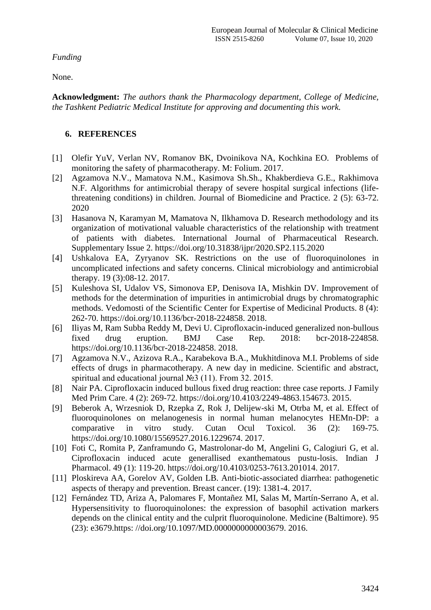*Funding*

None.

**Acknowledgment:** *The authors thank the Pharmacology department, College of Medicine, the Tashkent Pediatric Medical Institute for approving and documenting this work.*

## **6. REFERENCES**

- [1] Olefir YuV, Verlan NV, Romanov BK, Dvoinikova NA, Kochkina EO. Problems of monitoring the safety of pharmacotherapy. M: Folium. 2017.
- [2] Agzamova N.V., Mamatova N.M., Kasimova Sh.Sh., Khakberdieva G.E., Rakhimova N.F. Algorithms for antimicrobial therapy of severe hospital surgical infections (lifethreatening conditions) in children. Journal of Biomedicine and Practice. 2 (5): 63-72. 2020
- [3] Hasanova N, Karamyan M, Mamatova N, Ilkhamova D. Research methodology and its organization of motivational valuable characteristics of the relationship with treatment of patients with diabetes. International Journal of Pharmaceutical Research. Supplementary Issue 2. https://doi.org/10.31838/ijpr/2020.SP2.115.2020
- [4] Ushkalova EA, Zyryanov SK. Restrictions on the use of fluoroquinolones in uncomplicated infections and safety concerns. Clinical microbiology and antimicrobial therapy. 19 (3):08-12. 2017.
- [5] Kuleshova SI, Udalov VS, Simonova EP, Denisova IA, Mishkin DV. Improvement of methods for the determination of impurities in antimicrobial drugs by chromatographic methods. Vedomosti of the Scientific Center for Expertise of Medicinal Products. 8 (4): 262-70. [https://doi.org/10.1136/bcr-2018-224858.](https://doi.org/10.1136/bcr-2018-224858) 2018.
- [6] Iliyas M, Ram Subba Reddy M, Devi U. Ciprofloxacin-induced generalized non-bullous fixed drug eruption. BMJ Case Rep. 2018: bcr-2018-224858. https://doi.org/10.1136/bcr-2018-224858. 2018.
- [7] Agzamova N.V., Azizova R.A., Karabekova B.A., Mukhitdinova M.I. Problems of side effects of drugs in pharmacotherapy. A new day in medicine. Scientific and abstract, spiritual and educational journal №3 (11). From 32. 2015.
- [8] Nair PA. Ciprofloxacin induced bullous fixed drug reaction: three case reports. J Family Med Prim Care. 4 (2): 269-72. [https://doi.org/10.4103/2249-4863.154673.](https://doi.org/10.4103/2249-4863.154673) 2015.
- [9] Beberok A, Wrzesniok D, Rzepka Z, Rok J, Delijew-ski M, Otrba M, et al. Effect of fluoroquinolones on melanogenesis in normal human melanocytes HEMn-DP: a comparative in vitro study. Cutan Ocul Toxicol. 36 (2): 169-75. [https://doi.org/10.1080/15569527.2016.1229674.](https://doi.org/10.1080/15569527.2016.1229674) 2017.
- [10] Foti C, Romita P, Zanframundo G, Mastrolonar-do M, Angelini G, Calogiuri G, et al. Ciprofloxacin induced acute generallised exanthematous pustu-losis. Indian J Pharmacol. 49 (1): 119-20. [https://doi.org/10.4103/0253-7613.201014.](https://doi.org/10.4103/0253-7613.201014) 2017.
- [11] Ploskireva AA, Gorelov AV, Golden LB. Anti-biotic-associated diarrhea: pathogenetic aspects of therapy and prevention. Breast cancer. (19): 1381-4. 2017.
- [12] Fernández TD, Ariza A, Palomares F, Montañez MI, Salas M, Martín-Serrano A, et al. Hypersensitivity to fluoroquinolones: the expression of basophil activation markers depends on the clinical entity and the culprit fluoroquinolone. Medicine (Baltimore). 95 (23): e3679.https: //doi.org/10.1097/MD.0000000000003679. 2016.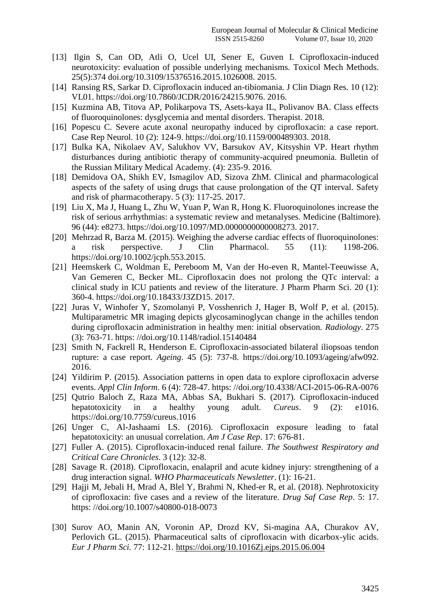- [13] Ilgin S, Can OD, Atli O, Ucel UI, Sener E, Guven I. Ciprofloxacin-induced neurotoxicity: evaluation of possible underlying mechanisms. Toxicol Mech Methods. 25(5):374 doi.org/10.3109/15376516.2015.1026008. 2015.
- [14] Ransing RS, Sarkar D. Ciprofloxacin induced an-tibiomania. J Clin Diagn Res. 10 (12): VL01. [https://doi.org/10.7860/JCDR/2016/24215.9076.](https://doi.org/10.7860/JCDR/2016/24215.9076) 2016.
- [15] Kuzmina AB, Titova AP, Polikarpova TS, Asets-kaya IL, Polivanov BA. Class effects of fluoroquinolones: dysglycemia and mental disorders. Therapist. 2018.
- [16] Popescu C. Severe acute axonal neuropathy induced by ciprofloxacin: a case report. Case Rep Neurol. 10 (2): 124-9. [https://doi.org/10.1159/000489303.](https://doi.org/10.1159/000489303) 2018.
- [17] Bulka KA, Nikolaev AV, Salukhov VV, Barsukov AV, Kitsyshin VP. Heart rhythm disturbances during antibiotic therapy of community-acquired pneumonia. Bulletin of the Russian Military Medical Academy. (4): 235-9. 2016.
- [18] Demidova OA, Shikh EV, Ismagilov AD, Sizova ZhM. Clinical and pharmacological aspects of the safety of using drugs that cause prolongation of the QT interval. Safety and risk of pharmacotherapy. 5 (3): 117-25. 2017.
- [19] Liu X, Ma J, Huang L, Zhu W, Yuan P, Wan R, Hong K. Fluoroquinolones increase the risk of serious arrhythmias: a systematic review and metanalyses. Medicine (Baltimore). 96 (44): e8273. [https://doi.org/10.1097/MD.0000000000008273.](https://doi.org/10.1097/MD.0000000000008273) 2017.
- [20] Mehrzad R, Barza M. (2015). Weighing the adverse cardiac effects of fluoroquinolones: a risk perspective. J Clin Pharmacol. 55 (11): 1198-206. https://doi.org/10.1002/jcph.553.2015.
- [21] Heemskerk C, Woldman E, Pereboom M, Van der Ho-even R, Mantel-Teeuwisse A, Van Gemeren C, Becker ML. Ciprofloxacin does not prolong the QTc interval: a clinical study in ICU patients and review of the literature. J Pharm Pharm Sci. 20 (1): 360-4. [https://doi.org/10.18433/J3ZD15.](https://doi.org/10.18433/J3ZD15) 2017.
- [22] Juras V, Winhofer Y, Szomolanyi P, Vosshenrich J, Hager B, Wolf P, et al. (2015). Multiparametric MR imaging depicts glycosaminoglycan change in the achilles tendon during ciprofloxacin administration in healthy men: initial observation. *Radiology*. 275 (3): 763-71. https: //doi.org/10.1148/radiol.15140484
- [23] Smith N, Fackrell R, Henderson E. Ciprofloxacin-associated bilateral iliopsoas tendon rupture: a case report. *Ageing*. 45 (5): 737-8. [https://doi.org/10.1093/ageing/afw092.](https://doi.org/10.1093/ageing/afw092) 2016.
- [24] Yildirim P. (2015). Association patterns in open data to explore ciprofloxacin adverse events. *Appl Clin Inform*. 6 (4): 728-47. https: //doi.org/10.4338/ACI-2015-06-RA-0076
- [25] Qutrio Baloch Z, Raza MA, Abbas SA, Bukhari S. (2017). Ciprofloxacin-induced hepatotoxicity in a healthy young adult*. Cureus*. 9 (2): e1016. https://doi.org/10.7759/cureus.1016
- [26] Unger C, Al-Jashaami LS. (2016). Ciprofloxacin exposure leading to fatal hepatotoxicity: an unusual correlation. *Am J Case Rep*. 17: 676-81.
- [27] Fuller A. (2015). Ciprofloxacin-induced renal failure. *The Southwest Respiratory and Critical Care Chronicles*. 3 (12): 32-8.
- [28] Savage R. (2018). Ciprofloxacin, enalapril and acute kidney injury: strengthening of a drug interaction signal. *WHO Pharmaceuticals Newsletter*. (1): 16-21.
- [29] Hajji M, Jebali H, Mrad A, Blel Y, Brahmi N, Khed-er R, et al. (2018). Nephrotoxicity of ciprofloxacin: five cases and a review of the literature. *Drug Saf Case Rep*. 5: 17. https: //doi.org/10.1007/s40800-018-0073
- [30] Surov AO, Manin AN, Voronin AP, Drozd KV, Si-magina AA, Churakov AV, Perlovich GL. (2015). Pharmaceutical salts of ciprofloxacin with dicarbox-ylic acids. *Eur J Pharm Sci.* 77: 112-21.<https://doi.org/10.1016Zj.ejps.2015.06.004>